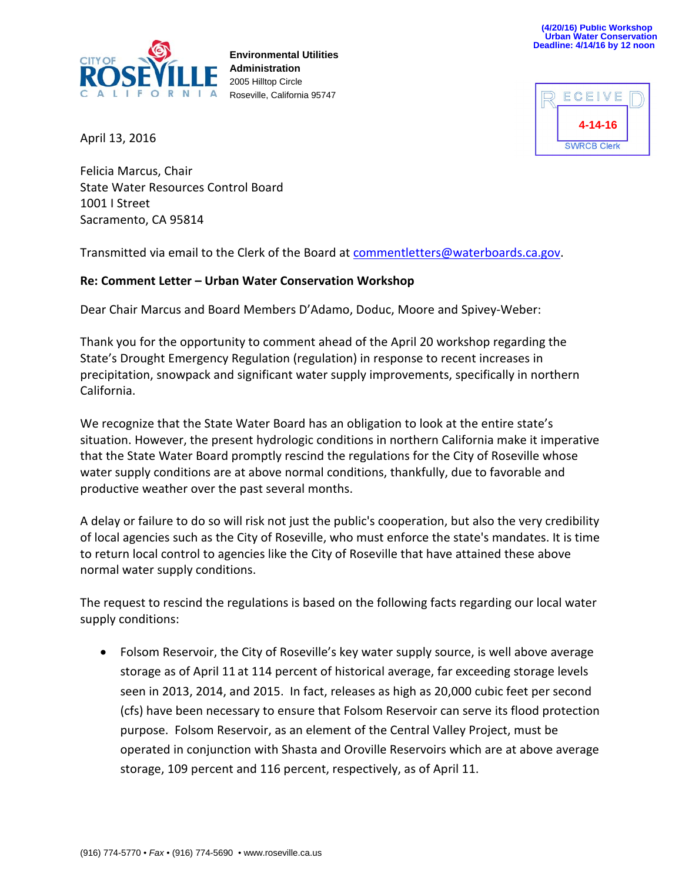

**Environmental Utilities Administration** 2005 Hilltop Circle Roseville, California 95747



April 13, 2016

Felicia Marcus, Chair State Water Resources Control Board 1001 I Street Sacramento, CA 95814

Transmitted via email to the Clerk of the Board at [commentletters@waterboards.ca.gov.](mailto:commentletters@waterboards.ca.gov)

#### **Re: Comment Letter – Urban Water Conservation Workshop**

Dear Chair Marcus and Board Members D'Adamo, Doduc, Moore and Spivey-Weber:

Thank you for the opportunity to comment ahead of the April 20 workshop regarding the State's Drought Emergency Regulation (regulation) in response to recent increases in precipitation, snowpack and significant water supply improvements, specifically in northern California.

We recognize that the State Water Board has an obligation to look at the entire state's situation. However, the present hydrologic conditions in northern California make it imperative that the State Water Board promptly rescind the regulations for the City of Roseville whose water supply conditions are at above normal conditions, thankfully, due to favorable and productive weather over the past several months.

A delay or failure to do so will risk not just the public's cooperation, but also the very credibility of local agencies such as the City of Roseville, who must enforce the state's mandates. It is time to return local control to agencies like the City of Roseville that have attained these above normal water supply conditions.

The request to rescind the regulations is based on the following facts regarding our local water supply conditions:

• Folsom Reservoir, the City of Roseville's key water supply source, is well above average storage as of April 11 at 114 percent of historical average, far exceeding storage levels seen in 2013, 2014, and 2015. In fact, releases as high as 20,000 cubic feet per second (cfs) have been necessary to ensure that Folsom Reservoir can serve its flood protection purpose. Folsom Reservoir, as an element of the Central Valley Project, must be operated in conjunction with Shasta and Oroville Reservoirs which are at above average storage, 109 percent and 116 percent, respectively, as of April 11.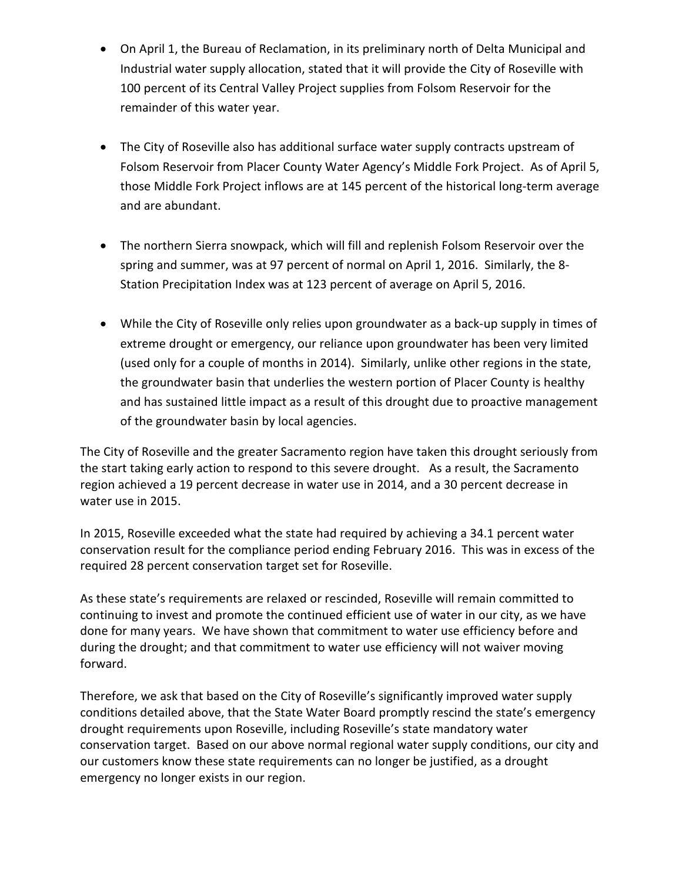- On April 1, the Bureau of Reclamation, in its preliminary north of Delta Municipal and Industrial water supply allocation, stated that it will provide the City of Roseville with 100 percent of its Central Valley Project supplies from Folsom Reservoir for the remainder of this water year.
- The City of Roseville also has additional surface water supply contracts upstream of Folsom Reservoir from Placer County Water Agency's Middle Fork Project. As of April 5, those Middle Fork Project inflows are at 145 percent of the historical long-term average and are abundant.
- The northern Sierra snowpack, which will fill and replenish Folsom Reservoir over the spring and summer, was at 97 percent of normal on April 1, 2016. Similarly, the 8- Station Precipitation Index was at 123 percent of average on April 5, 2016.
- While the City of Roseville only relies upon groundwater as a back-up supply in times of extreme drought or emergency, our reliance upon groundwater has been very limited (used only for a couple of months in 2014). Similarly, unlike other regions in the state, the groundwater basin that underlies the western portion of Placer County is healthy and has sustained little impact as a result of this drought due to proactive management of the groundwater basin by local agencies.

The City of Roseville and the greater Sacramento region have taken this drought seriously from the start taking early action to respond to this severe drought. As a result, the Sacramento region achieved a 19 percent decrease in water use in 2014, and a 30 percent decrease in water use in 2015.

In 2015, Roseville exceeded what the state had required by achieving a 34.1 percent water conservation result for the compliance period ending February 2016. This was in excess of the required 28 percent conservation target set for Roseville.

As these state's requirements are relaxed or rescinded, Roseville will remain committed to continuing to invest and promote the continued efficient use of water in our city, as we have done for many years. We have shown that commitment to water use efficiency before and during the drought; and that commitment to water use efficiency will not waiver moving forward.

Therefore, we ask that based on the City of Roseville's significantly improved water supply conditions detailed above, that the State Water Board promptly rescind the state's emergency drought requirements upon Roseville, including Roseville's state mandatory water conservation target. Based on our above normal regional water supply conditions, our city and our customers know these state requirements can no longer be justified, as a drought emergency no longer exists in our region.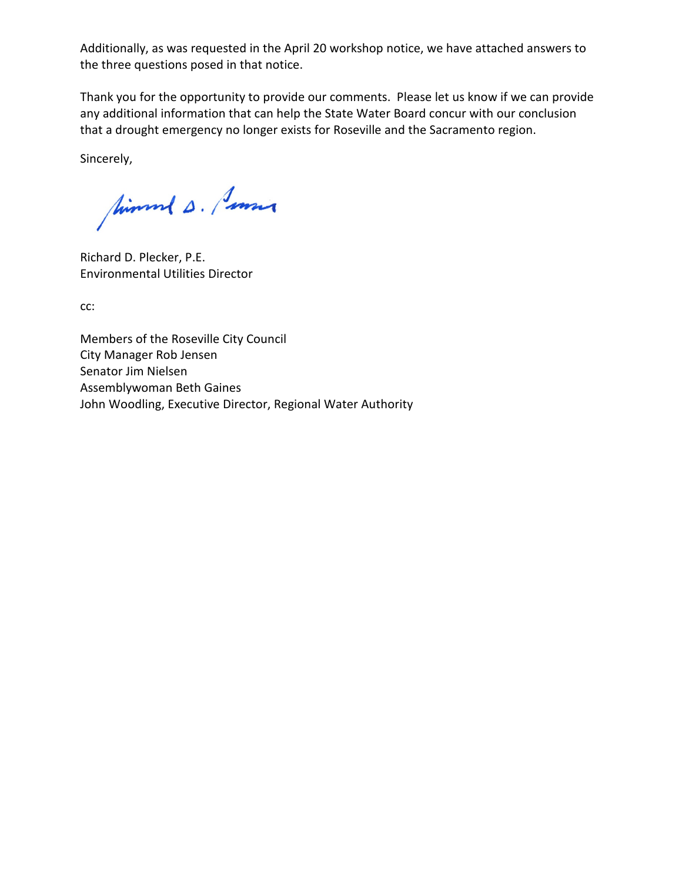Additionally, as was requested in the April 20 workshop notice, we have attached answers to the three questions posed in that notice.

Thank you for the opportunity to provide our comments. Please let us know if we can provide any additional information that can help the State Water Board concur with our conclusion that a drought emergency no longer exists for Roseville and the Sacramento region.

Sincerely,

Simmed s. Summe

Richard D. Plecker, P.E. Environmental Utilities Director

cc:

Members of the Roseville City Council City Manager Rob Jensen Senator Jim Nielsen Assemblywoman Beth Gaines John Woodling, Executive Director, Regional Water Authority